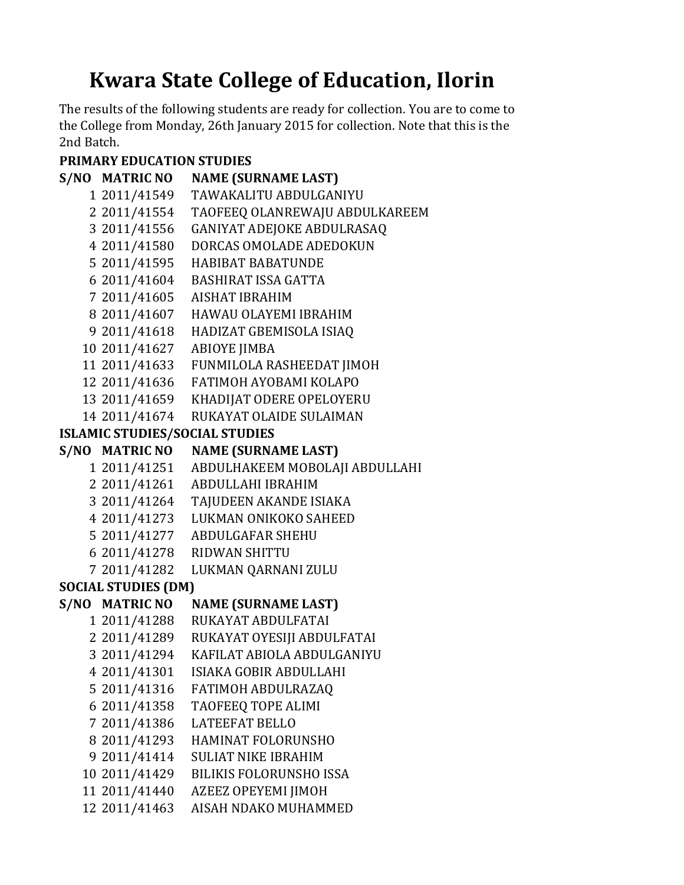## **Kwara State College of Education, Ilorin**

The results of the following students are ready for collection. You are to come to the College from Monday, 26th January 2015 for collection. Note that this is the 2nd Batch.

## **PRIMARY EDUCATION STUDIES**

|                                       | S/NO MATRIC NO | <b>NAME (SURNAME LAST)</b>        |  |
|---------------------------------------|----------------|-----------------------------------|--|
|                                       | 1 2011/41549   | <b>TAWAKALITU ABDULGANIYU</b>     |  |
|                                       | 2 2011/41554   | TAOFEEQ OLANREWAJU ABDULKAREEM    |  |
|                                       | 3 2011/41556   | <b>GANIYAT ADEJOKE ABDULRASAQ</b> |  |
|                                       | 4 2011/41580   | DORCAS OMOLADE ADEDOKUN           |  |
|                                       | 5 2011/41595   | <b>HABIBAT BABATUNDE</b>          |  |
|                                       | 6 2011/41604   | <b>BASHIRAT ISSA GATTA</b>        |  |
|                                       | 7 2011/41605   | <b>AISHAT IBRAHIM</b>             |  |
|                                       | 8 2011/41607   | HAWAU OLAYEMI IBRAHIM             |  |
|                                       | 9 2011/41618   | HADIZAT GBEMISOLA ISIAQ           |  |
|                                       | 10 2011/41627  | <b>ABIOYE JIMBA</b>               |  |
|                                       | 11 2011/41633  | FUNMILOLA RASHEEDAT JIMOH         |  |
|                                       | 12 2011/41636  | FATIMOH AYOBAMI KOLAPO            |  |
|                                       | 13 2011/41659  | KHADIJAT ODERE OPELOYERU          |  |
|                                       | 14 2011/41674  | <b>RUKAYAT OLAIDE SULAIMAN</b>    |  |
| <b>ISLAMIC STUDIES/SOCIAL STUDIES</b> |                |                                   |  |
|                                       | S/NO MATRIC NO | <b>NAME (SURNAME LAST)</b>        |  |
|                                       | 1 2011/41251   | ABDULHAKEEM MOBOLAJI ABDULLAHI    |  |
|                                       | 2 2011/41261   | ABDULLAHI IBRAHIM                 |  |
|                                       | 3 2011/41264   | TAJUDEEN AKANDE ISIAKA            |  |
|                                       | 4 2011/41273   | LUKMAN ONIKOKO SAHEED             |  |
|                                       | 5 2011/41277   | <b>ABDULGAFAR SHEHU</b>           |  |
|                                       | 6 2011/41278   | <b>RIDWAN SHITTU</b>              |  |
|                                       | 7 2011/41282   | LUKMAN QARNANI ZULU               |  |
| <b>SOCIAL STUDIES (DM)</b>            |                |                                   |  |
|                                       | S/NO MATRIC NO | <b>NAME (SURNAME LAST)</b>        |  |
|                                       | 1 2011/41288   | RUKAYAT ABDULFATAI                |  |
|                                       | 2 2011/41289   | RUKAYAT OYESIJI ABDULFATAI        |  |
|                                       | 3 2011/41294   | KAFILAT ABIOLA ABDULGANIYU        |  |
|                                       | 4 2011/41301   | ISIAKA GOBIR ABDULLAHI            |  |
|                                       | 5 2011/41316   | <b>FATIMOH ABDULRAZAQ</b>         |  |
|                                       | 6 2011/41358   | TAOFEEQ TOPE ALIMI                |  |
|                                       | 7 2011/41386   | <b>LATEEFAT BELLO</b>             |  |
|                                       | 8 2011/41293   | <b>HAMINAT FOLORUNSHO</b>         |  |
|                                       | 9 2011/41414   | <b>SULIAT NIKE IBRAHIM</b>        |  |
|                                       | 10 2011/41429  | <b>BILIKIS FOLORUNSHO ISSA</b>    |  |
|                                       | 11 2011/41440  | AZEEZ OPEYEMI JIMOH               |  |
|                                       | 12 2011/41463  | AISAH NDAKO MUHAMMED              |  |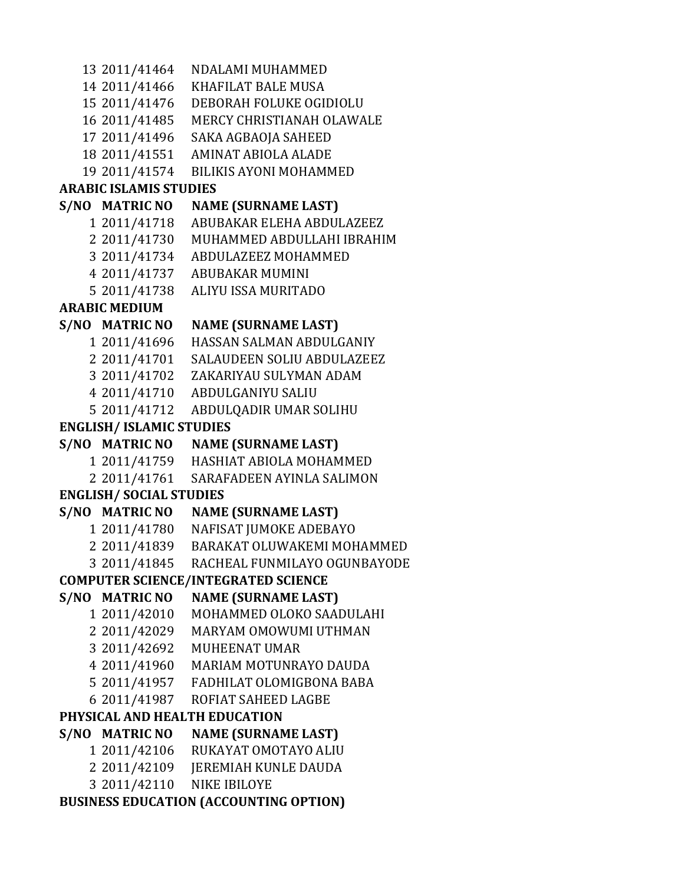2011/41464 NDALAMI MUHAMMED 2011/41466 KHAFILAT BALE MUSA 2011/41476 DEBORAH FOLUKE OGIDIOLU 2011/41485 MERCY CHRISTIANAH OLAWALE 2011/41496 SAKA AGBAOJA SAHEED 2011/41551 AMINAT ABIOLA ALADE 2011/41574 BILIKIS AYONI MOHAMMED **S/NO MATRIC NO NAME (SURNAME LAST)** 2011/41718 ABUBAKAR ELEHA ABDULAZEEZ 2011/41730 MUHAMMED ABDULLAHI IBRAHIM 2011/41734 ABDULAZEEZ MOHAMMED 2011/41737 ABUBAKAR MUMINI 2011/41738 ALIYU ISSA MURITADO **S/NO MATRIC NO NAME (SURNAME LAST)** 2011/41696 HASSAN SALMAN ABDULGANIY 2011/41701 SALAUDEEN SOLIU ABDULAZEEZ 2011/41702 ZAKARIYAU SULYMAN ADAM 2011/41710 ABDULGANIYU SALIU 2011/41712 ABDULQADIR UMAR SOLIHU **S/NO MATRIC NO NAME (SURNAME LAST)** 2011/41759 HASHIAT ABIOLA MOHAMMED 2011/41761 SARAFADEEN AYINLA SALIMON **S/NO MATRIC NO NAME (SURNAME LAST)** 2011/41780 NAFISAT JUMOKE ADEBAYO 2011/41839 BARAKAT OLUWAKEMI MOHAMMED 2011/41845 RACHEAL FUNMILAYO OGUNBAYODE **S/NO MATRIC NO NAME (SURNAME LAST)** 2011/42010 MOHAMMED OLOKO SAADULAHI 2011/42029 MARYAM OMOWUMI UTHMAN 2011/42692 MUHEENAT UMAR 2011/41960 MARIAM MOTUNRAYO DAUDA 2011/41957 FADHILAT OLOMIGBONA BABA 2011/41987 ROFIAT SAHEED LAGBE **S/NO MATRIC NO NAME (SURNAME LAST)** 2011/42106 RUKAYAT OMOTAYO ALIU 2011/42109 JEREMIAH KUNLE DAUDA 2011/42110 NIKE IBILOYE **ENGLISH/ SOCIAL STUDIES COMPUTER SCIENCE/INTEGRATED SCIENCE PHYSICAL AND HEALTH EDUCATION BUSINESS EDUCATION (ACCOUNTING OPTION) ARABIC ISLAMIS STUDIES ARABIC MEDIUM ENGLISH/ ISLAMIC STUDIES**